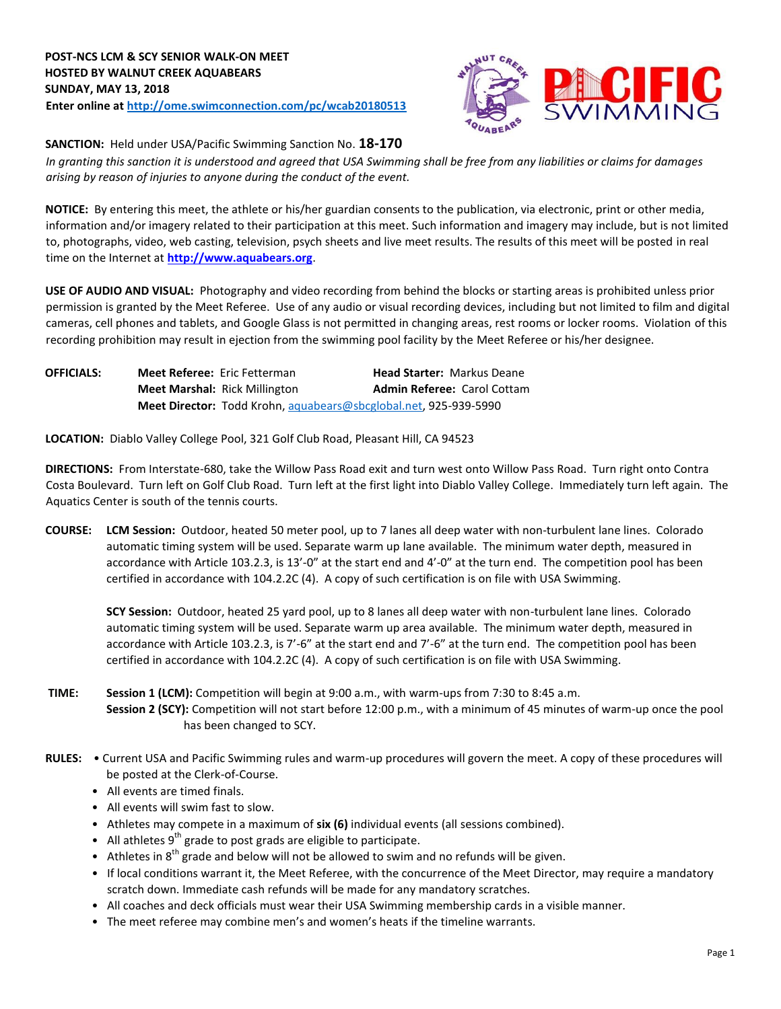

**SANCTION:** Held under USA/Pacific Swimming Sanction No. **18-170**

*In granting this sanction it is understood and agreed that USA Swimming shall be free from any liabilities or claims for damages arising by reason of injuries to anyone during the conduct of the event.* 

**NOTICE:** By entering this meet, the athlete or his/her guardian consents to the publication, via electronic, print or other media, information and/or imagery related to their participation at this meet. Such information and imagery may include, but is not limited to, photographs, video, web casting, television, psych sheets and live meet results. The results of this meet will be posted in real time on the Internet at **[http://www.aquabears.org](http://www.aquabears.org/)**[.](http://www.aquabears.org/)

**USE OF AUDIO AND VISUAL:** Photography and video recording from behind the blocks or starting areas is prohibited unless prior permission is granted by the Meet Referee. Use of any audio or visual recording devices, including but not limited to film and digital cameras, cell phones and tablets, and Google Glass is not permitted in changing areas, rest rooms or locker rooms. Violation of this recording prohibition may result in ejection from the swimming pool facility by the Meet Referee or his/her designee.

| <b>OFFICIALS:</b> | <b>Meet Referee: Eric Fetterman</b>                              | <b>Head Starter: Markus Deane</b>  |
|-------------------|------------------------------------------------------------------|------------------------------------|
|                   | <b>Meet Marshal: Rick Millington</b>                             | <b>Admin Referee: Carol Cottam</b> |
|                   | Meet Director: Todd Krohn, aquabears@sbcglobal.net, 925-939-5990 |                                    |

**LOCATION:** Diablo Valley College Pool, 321 Golf Club Road, Pleasant Hill, CA 94523

**DIRECTIONS:** From Interstate-680, take the Willow Pass Road exit and turn west onto Willow Pass Road. Turn right onto Contra Costa Boulevard. Turn left on Golf Club Road. Turn left at the first light into Diablo Valley College. Immediately turn left again. The Aquatics Center is south of the tennis courts.

**COURSE: LCM Session:** Outdoor, heated 50 meter pool, up to 7 lanes all deep water with non-turbulent lane lines. Colorado automatic timing system will be used. Separate warm up lane available. The minimum water depth, measured in accordance with Article 103.2.3, is 13'-0" at the start end and 4'-0" at the turn end. The competition pool has been certified in accordance with 104.2.2C (4). A copy of such certification is on file with USA Swimming.

**SCY Session:** Outdoor, heated 25 yard pool, up to 8 lanes all deep water with non-turbulent lane lines. Colorado automatic timing system will be used. Separate warm up area available. The minimum water depth, measured in accordance with Article 103.2.3, is 7'-6" at the start end and 7'-6" at the turn end. The competition pool has been certified in accordance with 104.2.2C (4). A copy of such certification is on file with USA Swimming.

## **TIME: Session 1 (LCM):** Competition will begin at 9:00 a.m., with warm-ups from 7:30 to 8:45 a.m. **Session 2 (SCY):** Competition will not start before 12:00 p.m., with a minimum of 45 minutes of warm-up once the pool has been changed to SCY.

- **RULES:**  Current USA and Pacific Swimming rules and warm-up procedures will govern the meet. A copy of these procedures will be posted at the Clerk-of-Course.
	- All events are timed finals.
	- All events will swim fast to slow.
	- Athletes may compete in a maximum of **six (6)** individual events (all sessions combined).
	- $\bullet$  All athletes 9<sup>th</sup> grade to post grads are eligible to participate.
	- Athletes in  $8<sup>th</sup>$  grade and below will not be allowed to swim and no refunds will be given.
	- If local conditions warrant it, the Meet Referee, with the concurrence of the Meet Director, may require a mandatory scratch down. Immediate cash refunds will be made for any mandatory scratches.
	- All coaches and deck officials must wear their USA Swimming membership cards in a visible manner.
	- The meet referee may combine men's and women's heats if the timeline warrants.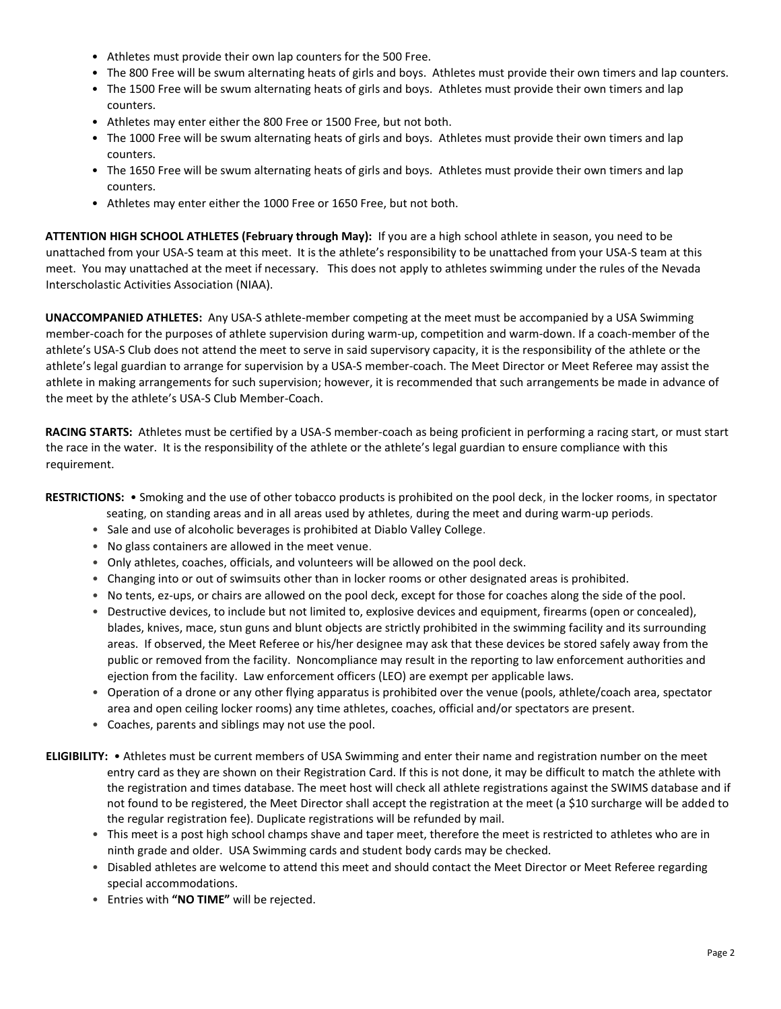- Athletes must provide their own lap counters for the 500 Free.
- The 800 Free will be swum alternating heats of girls and boys. Athletes must provide their own timers and lap counters.
- The 1500 Free will be swum alternating heats of girls and boys. Athletes must provide their own timers and lap counters.
- Athletes may enter either the 800 Free or 1500 Free, but not both.
- The 1000 Free will be swum alternating heats of girls and boys. Athletes must provide their own timers and lap counters.
- The 1650 Free will be swum alternating heats of girls and boys. Athletes must provide their own timers and lap counters.
- Athletes may enter either the 1000 Free or 1650 Free, but not both.

**ATTENTION HIGH SCHOOL ATHLETES (February through May):** If you are a high school athlete in season, you need to be unattached from your USA-S team at this meet. It is the athlete's responsibility to be unattached from your USA-S team at this meet. You may unattached at the meet if necessary. This does not apply to athletes swimming under the rules of the Nevada Interscholastic Activities Association (NIAA).

**UNACCOMPANIED ATHLETES:** Any USA-S athlete-member competing at the meet must be accompanied by a USA Swimming member-coach for the purposes of athlete supervision during warm-up, competition and warm-down. If a coach-member of the athlete's USA-S Club does not attend the meet to serve in said supervisory capacity, it is the responsibility of the athlete or the athlete's legal guardian to arrange for supervision by a USA-S member-coach. The Meet Director or Meet Referee may assist the athlete in making arrangements for such supervision; however, it is recommended that such arrangements be made in advance of the meet by the athlete's USA-S Club Member-Coach.

**RACING STARTS:** Athletes must be certified by a USA-S member-coach as being proficient in performing a racing start, or must start the race in the water. It is the responsibility of the athlete or the athlete's legal guardian to ensure compliance with this requirement.

**RESTRICTIONS:** • Smoking and the use of other tobacco products is prohibited on the pool deck, in the locker rooms, in spectator

seating, on standing areas and in all areas used by athletes, during the meet and during warm-up periods.

- Sale and use of alcoholic beverages is prohibited at Diablo Valley College.
- No glass containers are allowed in the meet venue.
- Only athletes, coaches, officials, and volunteers will be allowed on the pool deck.
- Changing into or out of swimsuits other than in locker rooms or other designated areas is prohibited.
- No tents, ez-ups, or chairs are allowed on the pool deck, except for those for coaches along the side of the pool.
- Destructive devices, to include but not limited to, explosive devices and equipment, firearms (open or concealed), blades, knives, mace, stun guns and blunt objects are strictly prohibited in the swimming facility and its surrounding areas. If observed, the Meet Referee or his/her designee may ask that these devices be stored safely away from the public or removed from the facility. Noncompliance may result in the reporting to law enforcement authorities and ejection from the facility. Law enforcement officers (LEO) are exempt per applicable laws.
- Operation of a drone or any other flying apparatus is prohibited over the venue (pools, athlete/coach area, spectator area and open ceiling locker rooms) any time athletes, coaches, official and/or spectators are present.
- Coaches, parents and siblings may not use the pool.
- **ELIGIBILITY:**  Athletes must be current members of USA Swimming and enter their name and registration number on the meet entry card as they are shown on their Registration Card. If this is not done, it may be difficult to match the athlete with the registration and times database. The meet host will check all athlete registrations against the SWIMS database and if not found to be registered, the Meet Director shall accept the registration at the meet (a \$10 surcharge will be added to the regular registration fee). Duplicate registrations will be refunded by mail.
	- This meet is a post high school champs shave and taper meet, therefore the meet is restricted to athletes who are in ninth grade and older. USA Swimming cards and student body cards may be checked.
	- Disabled athletes are welcome to attend this meet and should contact the Meet Director or Meet Referee regarding special accommodations.
	- Entries with **"NO TIME"** will be rejected.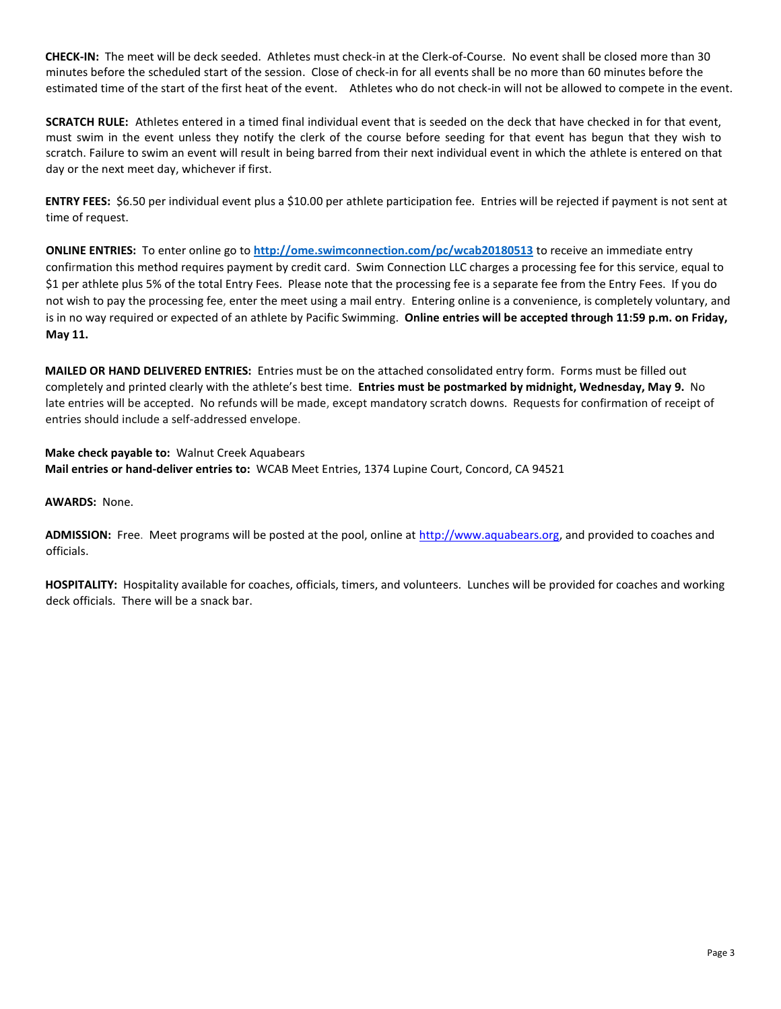**CHECK-IN:** The meet will be deck seeded. Athletes must check-in at the Clerk-of-Course. No event shall be closed more than 30 minutes before the scheduled start of the session. Close of check‐in for all events shall be no more than 60 minutes before the estimated time of the start of the first heat of the event. Athletes who do not check-in will not be allowed to compete in the event.

**SCRATCH RULE:** Athletes entered in a timed final individual event that is seeded on the deck that have checked in for that event, must swim in the event unless they notify the clerk of the course before seeding for that event has begun that they wish to scratch. Failure to swim an event will result in being barred from their next individual event in which the athlete is entered on that day or the next meet day, whichever if first.

**ENTRY FEES:** \$6.50 per individual event plus a \$10.00 per athlete participation fee. Entries will be rejected if payment is not sent at time of request.

**ONLINE ENTRIES:** To enter online go to **<http://ome.swimconnection.com/pc/wcab20180513>** [to](http://ome.swimconnection.com/pc/wcab20150517) receive an immediate entry confirmation this method requires payment by credit card. Swim Connection LLC charges a processing fee for this service, equal to \$1 per athlete plus 5% of the total Entry Fees. Please note that the processing fee is a separate fee from the Entry Fees. If you do not wish to pay the processing fee, enter the meet using a mail entry. Entering online is a convenience, is completely voluntary, and is in no way required or expected of an athlete by Pacific Swimming. **Online entries will be accepted through 11:59 p.m. on Friday, May 11.** 

**MAILED OR HAND DELIVERED ENTRIES:** Entries must be on the attached consolidated entry form. Forms must be filled out completely and printed clearly with the athlete's best time. **Entries must be postmarked by midnight, Wednesday, May 9.** No late entries will be accepted. No refunds will be made, except mandatory scratch downs. Requests for confirmation of receipt of entries should include a self-addressed envelope.

**Make check payable to:** Walnut Creek Aquabears **Mail entries or hand-deliver entries to:** WCAB Meet Entries, 1374 Lupine Court, Concord, CA 94521

### **AWARDS:** None.

**ADMISSION:** Free. Meet programs will be posted at the pool, online a[t http://www.aquabears.org,](http://www.aquabears.org/) and provided to coaches and officials.

**HOSPITALITY:** Hospitality available for coaches, officials, timers, and volunteers. Lunches will be provided for coaches and working deck officials. There will be a snack bar.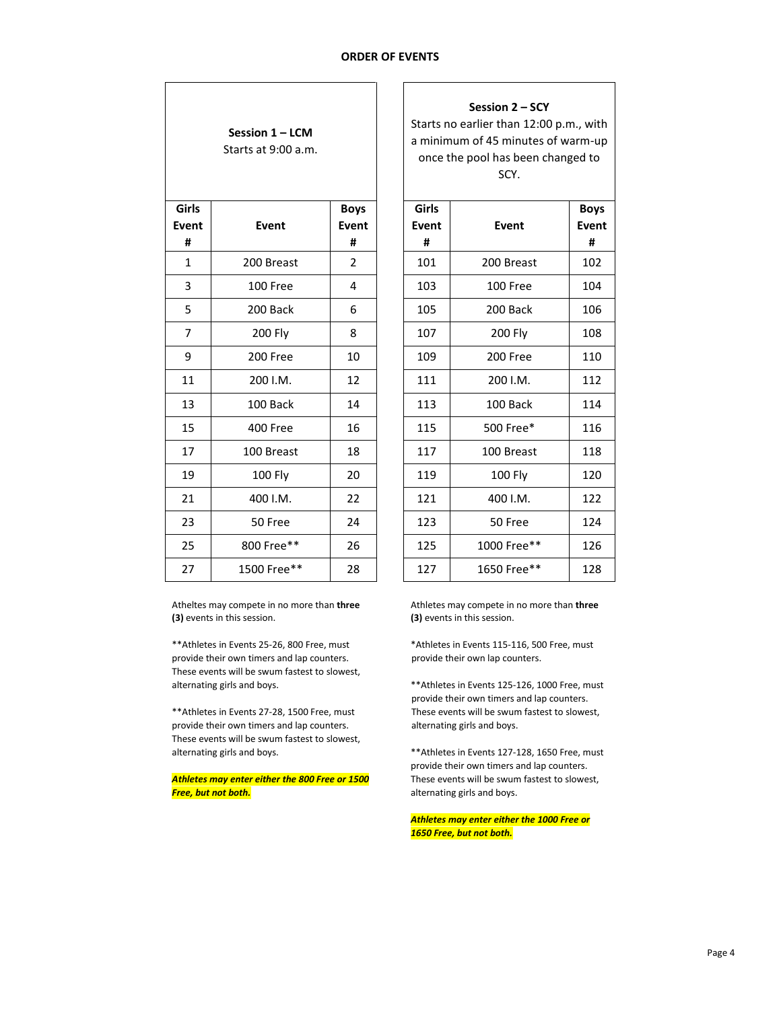| Session 1 - LCM<br>Starts at 9:00 a.m. |                |             |  |  |  |  |  |  |
|----------------------------------------|----------------|-------------|--|--|--|--|--|--|
| Girls                                  |                | <b>Boys</b> |  |  |  |  |  |  |
| Event<br>#                             | <b>Event</b>   | Event<br>#  |  |  |  |  |  |  |
| 1                                      | 200 Breast     | 2           |  |  |  |  |  |  |
| 3                                      | 100 Free       | 4           |  |  |  |  |  |  |
| 5                                      | 200 Back       | 6           |  |  |  |  |  |  |
| 7                                      | <b>200 Fly</b> | 8           |  |  |  |  |  |  |
| 9                                      | 200 Free       | 10          |  |  |  |  |  |  |
| 11                                     | 200 I.M.       | 12          |  |  |  |  |  |  |
| 13                                     | 100 Back       | 14          |  |  |  |  |  |  |
| 15                                     | 400 Free       | 16          |  |  |  |  |  |  |
| 17                                     | 100 Breast     | 18          |  |  |  |  |  |  |
| 19                                     | 100 Fly        | 20          |  |  |  |  |  |  |
| 21                                     | 400 I.M.       | 22          |  |  |  |  |  |  |
| 23                                     | 50 Free        | 24          |  |  |  |  |  |  |
| 25                                     | 800 Free**     | 26          |  |  |  |  |  |  |
| 27                                     | 1500 Free**    | 28          |  |  |  |  |  |  |

Atheltes may compete in no more than **three (3)** events in this session.

\*\*Athletes in Events 25-26, 800 Free, must provide their own timers and lap counters. These events will be swum fastest to slowest, alternating girls and boys.

\*\*Athletes in Events 27-28, 1500 Free, must provide their own timers and lap counters. These events will be swum fastest to slowest, alternating girls and boys.

*Athletes may enter either the 800 Free or 1500 Free, but not both.*

### **Session 2 – SCY**

Starts no earlier than 12:00 p.m., with a minimum of 45 minutes of warm-up once the pool has been changed to SCY.

| iirls          |             | <b>Boys</b> | Girls        |                | <b>Boys</b>  |
|----------------|-------------|-------------|--------------|----------------|--------------|
| /ent           | Event       | Event       | <b>Event</b> | Event          | <b>Event</b> |
| #              |             | #           | #            |                | #            |
| 1              | 200 Breast  | 2           | 101          | 200 Breast     | 102          |
| 3              | 100 Free    | 4           | 103          | 100 Free       | 104          |
| 5              | 200 Back    | 6           | 105          | 200 Back       | 106          |
| $\overline{7}$ | 200 Fly     | 8           | 107          | <b>200 Fly</b> | 108          |
| 9              | 200 Free    | 10          | 109          | 200 Free       | 110          |
| 11             | 200 I.M.    | 12          | 111          | 200 I.M.       | 112          |
| 13             | 100 Back    | 14          | 113          | 100 Back       | 114          |
| 15             | 400 Free    | 16          | 115          | 500 Free*      | 116          |
| 17             | 100 Breast  | 18          | 117          | 100 Breast     | 118          |
| 19             | 100 Fly     | 20          | 119          | 100 Fly        | 120          |
| 21             | 400 I.M.    | 22          | 121          | 400 I.M.       | 122          |
| 23             | 50 Free     | 24          | 123          | 50 Free        | 124          |
| 25             | 800 Free**  | 26          | 125          | 1000 Free**    | 126          |
| 27             | 1500 Free** | 28          | 127          | 1650 Free**    | 128          |

Athletes may compete in no more than **three (3)** events in this session.

\*Athletes in Events 115-116, 500 Free, must provide their own lap counters.

\*\*Athletes in Events 125-126, 1000 Free, must provide their own timers and lap counters. These events will be swum fastest to slowest, alternating girls and boys.

\*\*Athletes in Events 127-128, 1650 Free, must provide their own timers and lap counters. These events will be swum fastest to slowest, alternating girls and boys.

*Athletes may enter either the 1000 Free or 1650 Free, but not both.*